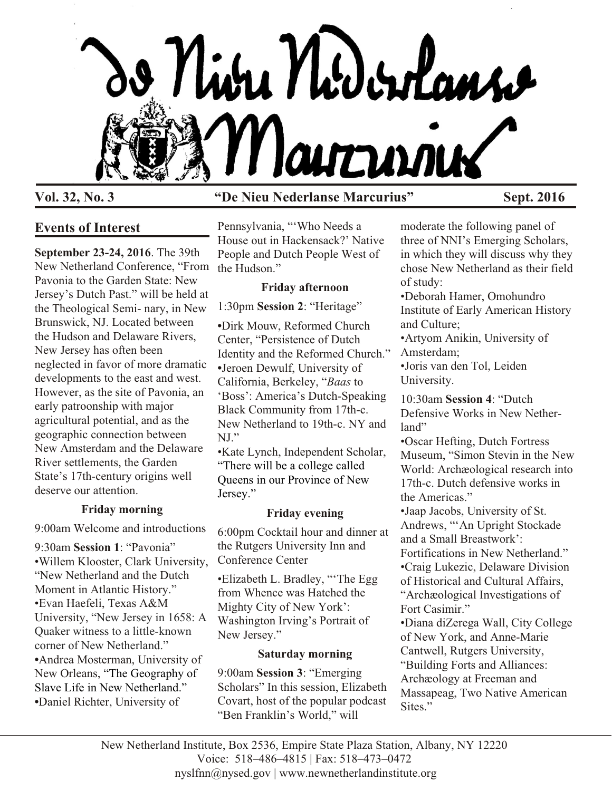

# **Vol. 32, No. 3 "De Nieu Nederlanse Marcurius" Sept. 2016**

## **Events of Interest**

**September 23-24, 2016**. The 39th New Netherland Conference, "From the Hudson." Pavonia to the Garden State: New Jersey's Dutch Past." will be held at the Theological Semi- nary, in New Brunswick, NJ. Located between the Hudson and Delaware Rivers, New Jersey has often been neglected in favor of more dramatic developments to the east and west. However, as the site of Pavonia, an early patroonship with major agricultural potential, and as the geographic connection between New Amsterdam and the Delaware River settlements, the Garden State's 17th-century origins well deserve our attention.

### **Friday morning**

9:00am Welcome and introductions

9:30am **Session 1**: "Pavonia" •Willem Klooster, Clark University, "New Netherland and the Dutch Moment in Atlantic History." •Evan Haefeli, Texas A&M University, "New Jersey in 1658: A Quaker witness to a little-known corner of New Netherland." **•**Andrea Mosterman, University of New Orleans, "The Geography of Slave Life in New Netherland." **•**Daniel Richter, University of

Pennsylvania, "'Who Needs a House out in Hackensack?' Native People and Dutch People West of

## **Friday afternoon**

1:30pm **Session 2**: "Heritage"

**•**Dirk Mouw, Reformed Church Center, "Persistence of Dutch Identity and the Reformed Church." **•**Jeroen Dewulf, University of California, Berkeley, "*Baas* to 'Boss': America's Dutch-Speaking Black Community from 17th-c. New Netherland to 19th-c. NY and NJ."

•Kate Lynch, Independent Scholar, "There will be a college called Queens in our Province of New Jersey."

## **Friday evening**

6:00pm Cocktail hour and dinner at the Rutgers University Inn and Conference Center

•Elizabeth L. Bradley, "'The Egg from Whence was Hatched the Mighty City of New York': Washington Irving's Portrait of New Jersey."

### **Saturday morning**

9:00am **Session 3**: "Emerging Scholars" In this session, Elizabeth Covart, host of the popular podcast "Ben Franklin's World," will

moderate the following panel of three of NNI's Emerging Scholars, in which they will discuss why they chose New Netherland as their field of study:

•Deborah Hamer, Omohundro Institute of Early American History and Culture;

•Artyom Anikin, University of Amsterdam;

•Joris van den Tol, Leiden University.

10:30am **Session 4**: "Dutch Defensive Works in New Netherland"

•Oscar Hefting, Dutch Fortress Museum, "Simon Stevin in the New World: Archæological research into 17th-c. Dutch defensive works in the Americas."

•Jaap Jacobs, University of St. Andrews, "'An Upright Stockade and a Small Breastwork': Fortifications in New Netherland." •Craig Lukezic, Delaware Division of Historical and Cultural Affairs, "Archæological Investigations of Fort Casimir."

•Diana diZerega Wall, City College of New York, and Anne-Marie Cantwell, Rutgers University, "Building Forts and Alliances: Archæology at Freeman and Massapeag, Two Native American Sites."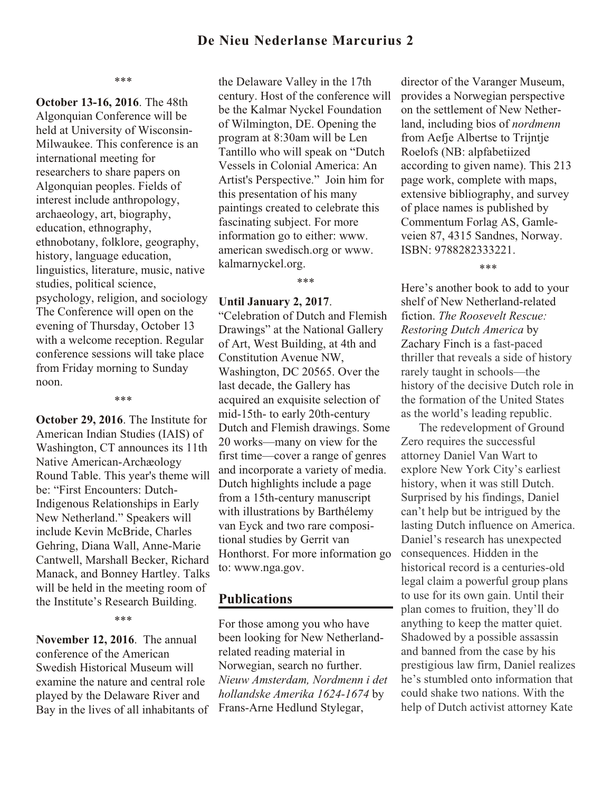## **De Nieu Nederlanse Marcurius 2**

\*\*\*

**October 13-16, 2016**. The 48th Algonquian Conference will be held at University of Wisconsin-Milwaukee. This conference is an international meeting for researchers to share papers on Algonquian peoples. Fields of interest include anthropology, archaeology, art, biography, education, ethnography, ethnobotany, folklore, geography, history, language education, linguistics, literature, music, native studies, political science, psychology, religion, and sociology The Conference will open on the evening of Thursday, October 13 with a welcome reception. Regular conference sessions will take place from Friday morning to Sunday noon.

**October 29, 2016**. The Institute for American Indian Studies (IAIS) of Washington, CT announces its 11th Native American-Archæology Round Table. This year's theme will be: "First Encounters: Dutch-Indigenous Relationships in Early New Netherland." Speakers will include Kevin McBride, Charles Gehring, Diana Wall, Anne-Marie Cantwell, Marshall Becker, Richard Manack, and Bonney Hartley. Talks will be held in the meeting room of the Institute's Research Building.

\*\*\*

\*\*\*

**November 12, 2016**. The annual conference of the American Swedish Historical Museum will examine the nature and central role played by the Delaware River and Bay in the lives of all inhabitants of the Delaware Valley in the 17th century. Host of the conference will be the Kalmar Nyckel Foundation of Wilmington, DE. Opening the program at 8:30am will be Len Tantillo who will speak on "Dutch Vessels in Colonial America: An Artist's Perspective." Join him for this presentation of his many paintings created to celebrate this fascinating subject. For more information go to either: www. american swedisch.org or www. kalmarnyckel.org.

\*\*\*

**Until January 2, 2017**.

"Celebration of Dutch and Flemish Drawings" at the National Gallery of Art, West Building, at 4th and Constitution Avenue NW, Washington, DC 20565. Over the last decade, the Gallery has acquired an exquisite selection of mid-15th- to early 20th-century Dutch and Flemish drawings. Some 20 works—many on view for the first time—cover a range of genres and incorporate a variety of media. Dutch highlights include a page from a 15th-century manuscript with illustrations by Barthélemy van Eyck and two rare compositional studies by Gerrit van Honthorst. For more information go to: www.nga.gov.

### **Publications**

For those among you who have been looking for New Netherlandrelated reading material in Norwegian, search no further. *Nieuw Amsterdam, Nordmenn i det hollandske Amerika 1624-1674* by Frans-Arne Hedlund Stylegar,

director of the Varanger Museum, provides a Norwegian perspective on the settlement of New Netherland, including bios of *nordmenn* from Aefje Albertse to Trijntje Roelofs (NB: alpfabetiized according to given name). This 213 page work, complete with maps, extensive bibliography, and survey of place names is published by Commentum Forlag AS, Gamleveien 87, 4315 Sandnes, Norway. ISBN: 9788282333221.

\*\*\*

Here's another book to add to your shelf of New Netherland-related fiction. *The Roosevelt Rescue: Restoring Dutch America* by Zachary Finch is a fast-paced thriller that reveals a side of history rarely taught in schools—the history of the decisive Dutch role in the formation of the United States as the world's leading republic.

The redevelopment of Ground Zero requires the successful attorney Daniel Van Wart to explore New York City's earliest history, when it was still Dutch. Surprised by his findings, Daniel can't help but be intrigued by the lasting Dutch influence on America. Daniel's research has unexpected consequences. Hidden in the historical record is a centuries-old legal claim a powerful group plans to use for its own gain. Until their plan comes to fruition, they'll do anything to keep the matter quiet. Shadowed by a possible assassin and banned from the case by his prestigious law firm, Daniel realizes he's stumbled onto information that could shake two nations. With the help of Dutch activist attorney Kate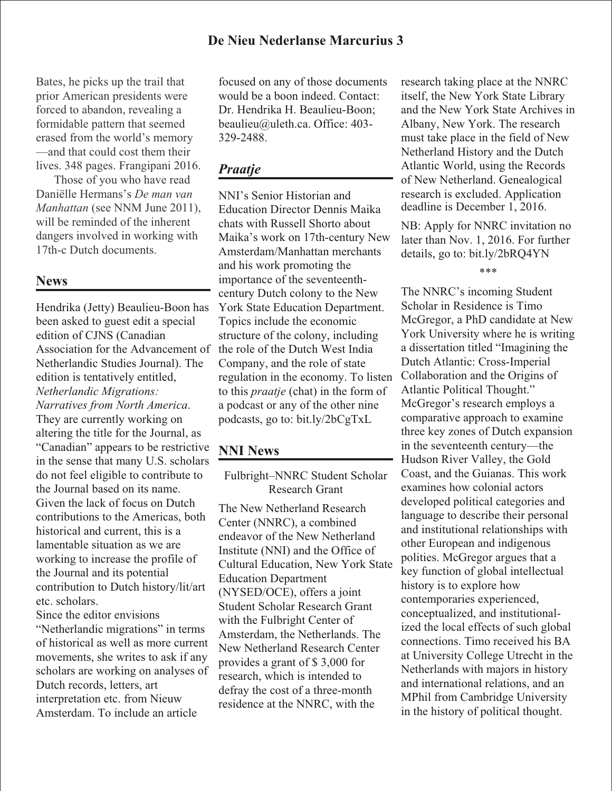Bates, he picks up the trail that prior American presidents were forced to abandon, revealing a formidable pattern that seemed erased from the world's memory —and that could cost them their lives. 348 pages. Frangipani 2016.

Those of you who have read Daniëlle Hermans's *De man van Manhattan* (see NNM June 2011), will be reminded of the inherent dangers involved in working with 17th-c Dutch documents.

## **News**

Hendrika (Jetty) Beaulieu-Boon has been asked to guest edit a special edition of CJNS (Canadian Association for the Advancement of Netherlandic Studies Journal). The edition is tentatively entitled, *Netherlandic Migrations: Narratives from North America*. They are currently working on altering the title for the Journal, as "Canadian" appears to be restrictive in the sense that many U.S. scholars do not feel eligible to contribute to the Journal based on its name. Given the lack of focus on Dutch contributions to the Americas, both historical and current, this is a lamentable situation as we are working to increase the profile of the Journal and its potential contribution to Dutch history/lit/art etc. scholars.

Since the editor envisions "Netherlandic migrations" in terms of historical as well as more current movements, she writes to ask if any scholars are working on analyses of Dutch records, letters, art interpretation etc. from Nieuw Amsterdam. To include an article

focused on any of those documents would be a boon indeed. Contact: Dr. Hendrika H. Beaulieu-Boon; beaulieu@uleth.ca. Office: 403- 329-2488.

## *Praatje*

NNI's Senior Historian and Education Director Dennis Maika chats with Russell Shorto about Maika's work on 17th-century New Amsterdam/Manhattan merchants and his work promoting the importance of the seventeenthcentury Dutch colony to the New York State Education Department. Topics include the economic structure of the colony, including the role of the Dutch West India Company, and the role of state regulation in the economy. To listen to this *praatje* (chat) in the form of a podcast or any of the other nine podcasts, go to: bit.ly/2bCgTxL

## **NNI News**

Fulbright–NNRC Student Scholar Research Grant

The New Netherland Research Center (NNRC), a combined endeavor of the New Netherland Institute (NNI) and the Office of Cultural Education, New York State Education Department (NYSED/OCE), offers a joint Student Scholar Research Grant with the Fulbright Center of Amsterdam, the Netherlands. The New Netherland Research Center provides a grant of \$ 3,000 for research, which is intended to defray the cost of a three-month residence at the NNRC, with the

research taking place at the NNRC itself, the New York State Library and the New York State Archives in Albany, New York. The research must take place in the field of New Netherland History and the Dutch Atlantic World, using the Records of New Netherland. Genealogical research is excluded. Application deadline is December 1, 2016.

NB: Apply for NNRC invitation no later than Nov. 1, 2016. For further details, go to: bit.ly/2bRQ4YN

#### \*\*\*

The NNRC's incoming Student Scholar in Residence is Timo McGregor, a PhD candidate at New York University where he is writing a dissertation titled "Imagining the Dutch Atlantic: Cross-Imperial Collaboration and the Origins of Atlantic Political Thought." McGregor's research employs a comparative approach to examine three key zones of Dutch expansion in the seventeenth century—the Hudson River Valley, the Gold Coast, and the Guianas. This work examines how colonial actors developed political categories and language to describe their personal and institutional relationships with other European and indigenous polities. McGregor argues that a key function of global intellectual history is to explore how contemporaries experienced, conceptualized, and institutionalized the local effects of such global connections. Timo received his BA at University College Utrecht in the Netherlands with majors in history and international relations, and an MPhil from Cambridge University in the history of political thought.